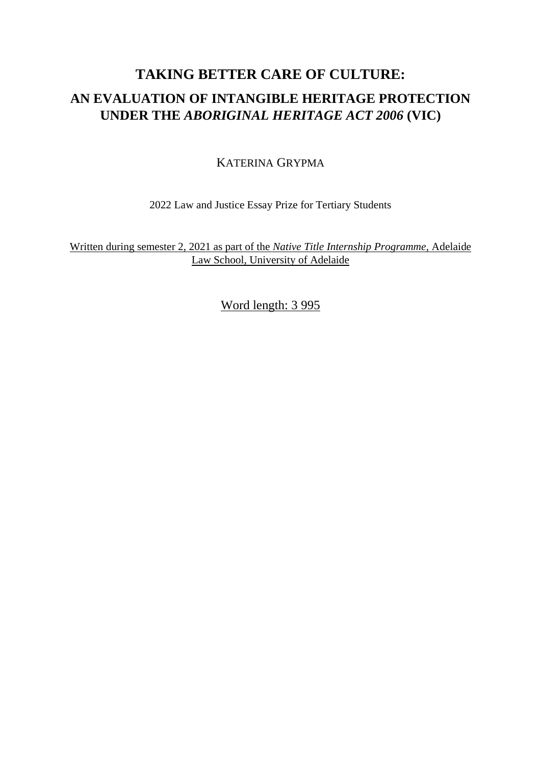# **TAKING BETTER CARE OF CULTURE: AN EVALUATION OF INTANGIBLE HERITAGE PROTECTION UNDER THE** *ABORIGINAL HERITAGE ACT 2006* **(VIC)**

## KATERINA GRYPMA

2022 Law and Justice Essay Prize for Tertiary Students

Written during semester 2, 2021 as part of the *Native Title Internship Programme*, Adelaide Law School, University of Adelaide

Word length: 3 995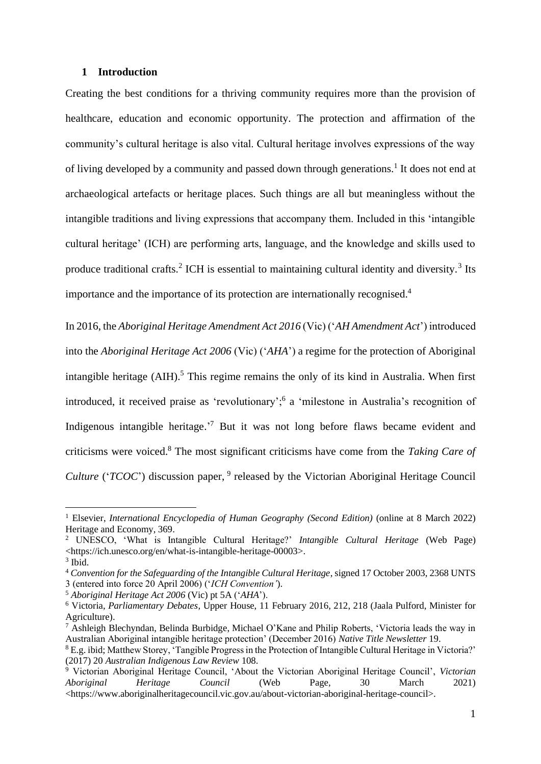#### **1 Introduction**

Creating the best conditions for a thriving community requires more than the provision of healthcare, education and economic opportunity. The protection and affirmation of the community's cultural heritage is also vital. Cultural heritage involves expressions of the way of living developed by a community and passed down through generations.<sup>1</sup> It does not end at archaeological artefacts or heritage places. Such things are all but meaningless without the intangible traditions and living expressions that accompany them. Included in this 'intangible cultural heritage' (ICH) are performing arts, language, and the knowledge and skills used to produce traditional crafts.<sup>2</sup> ICH is essential to maintaining cultural identity and diversity.<sup>3</sup> Its importance and the importance of its protection are internationally recognised.<sup>4</sup>

In 2016, the *Aboriginal Heritage Amendment Act 2016* (Vic) ('*AH Amendment Act*') introduced into the *Aboriginal Heritage Act 2006* (Vic) ('*AHA*') a regime for the protection of Aboriginal intangible heritage  $(AIH)$ <sup>5</sup>. This regime remains the only of its kind in Australia. When first introduced, it received praise as 'revolutionary';<sup>6</sup> a 'milestone in Australia's recognition of Indigenous intangible heritage.<sup>7</sup> But it was not long before flaws became evident and criticisms were voiced. <sup>8</sup> The most significant criticisms have come from the *Taking Care of Culture* ('*TCOC*') discussion paper, <sup>9</sup> released by the Victorian Aboriginal Heritage Council

<sup>1</sup> Elsevier, *International Encyclopedia of Human Geography (Second Edition)* (online at 8 March 2022) Heritage and Economy, 369.

<sup>2</sup> UNESCO, 'What is Intangible Cultural Heritage?' *Intangible Cultural Heritage* (Web Page) <https://ich.unesco.org/en/what-is-intangible-heritage-00003>.

<sup>3</sup> Ibid.

<sup>4</sup> *Convention for the Safeguarding of the Intangible Cultural Heritage*, signed 17 October 2003, 2368 UNTS 3 (entered into force 20 April 2006) ('*ICH Convention'*).

<sup>5</sup> *Aboriginal Heritage Act 2006* (Vic) pt 5A ('*AHA*').

<sup>6</sup> Victoria, *Parliamentary Debates*, Upper House, 11 February 2016, 212, 218 (Jaala Pulford, Minister for Agriculture).

<sup>7</sup> Ashleigh Blechyndan, Belinda Burbidge, Michael O'Kane and Philip Roberts, 'Victoria leads the way in Australian Aboriginal intangible heritage protection' (December 2016) *Native Title Newsletter* 19.

<sup>8</sup> E.g. ibid; Matthew Storey, 'Tangible Progress in the Protection of Intangible Cultural Heritage in Victoria?' (2017) 20 *Australian Indigenous Law Review* 108.

<sup>9</sup> Victorian Aboriginal Heritage Council, 'About the Victorian Aboriginal Heritage Council', *Victorian Aboriginal Heritage Council* (Web Page, 30 March 2021) <https://www.aboriginalheritagecouncil.vic.gov.au/about-victorian-aboriginal-heritage-council>.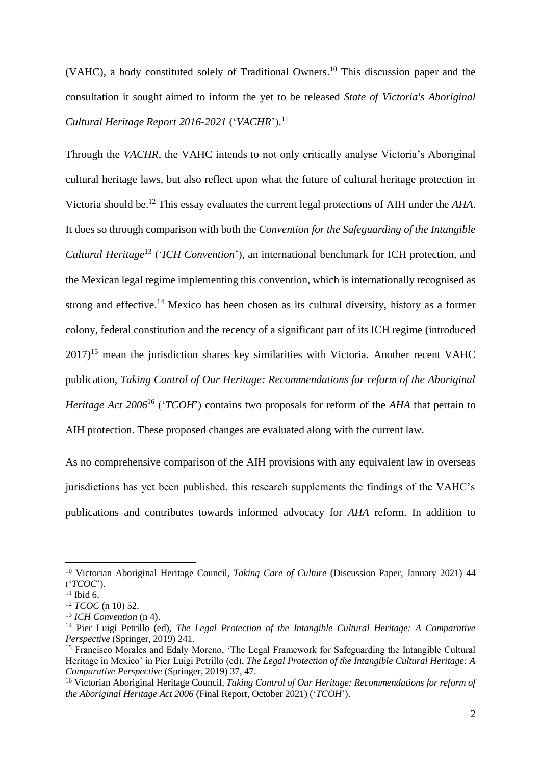(VAHC), a body constituted solely of Traditional Owners. <sup>10</sup> This discussion paper and the consultation it sought aimed to inform the yet to be released *State of Victoria's Aboriginal Cultural Heritage Report 2016-2021* ('*VACHR*'). 11

Through the *VACHR*, the VAHC intends to not only critically analyse Victoria's Aboriginal cultural heritage laws, but also reflect upon what the future of cultural heritage protection in Victoria should be.<sup>12</sup> This essay evaluates the current legal protections of AIH under the *AHA*. It does so through comparison with both the *Convention for the Safeguarding of the Intangible Cultural Heritage*<sup>13</sup> ('*ICH Convention*'), an international benchmark for ICH protection, and the Mexican legal regime implementing this convention, which is internationally recognised as strong and effective.<sup>14</sup> Mexico has been chosen as its cultural diversity, history as a former colony, federal constitution and the recency of a significant part of its ICH regime (introduced  $2017$ <sup>15</sup> mean the jurisdiction shares key similarities with Victoria. Another recent VAHC publication, *Taking Control of Our Heritage: Recommendations for reform of the Aboriginal Heritage Act 2006*<sup>16</sup> ('*TCOH*') contains two proposals for reform of the *AHA* that pertain to AIH protection. These proposed changes are evaluated along with the current law.

As no comprehensive comparison of the AIH provisions with any equivalent law in overseas jurisdictions has yet been published, this research supplements the findings of the VAHC's publications and contributes towards informed advocacy for *AHA* reform. In addition to

<sup>10</sup> Victorian Aboriginal Heritage Council, *Taking Care of Culture* (Discussion Paper, January 2021) 44 ('*TCOC*').

 $11$  Ibid 6.

<sup>12</sup> *TCOC* (n 10) 52.

<sup>13</sup> *ICH Convention* (n 4).

<sup>14</sup> Pier Luigi Petrillo (ed), *The Legal Protection of the Intangible Cultural Heritage: A Comparative Perspective* (Springer, 2019) 241.

<sup>&</sup>lt;sup>15</sup> Francisco Morales and Edaly Moreno, 'The Legal Framework for Safeguarding the Intangible Cultural Heritage in Mexico' in Pier Luigi Petrillo (ed), *The Legal Protection of the Intangible Cultural Heritage: A Comparative Perspective* (Springer, 2019) 37, 47.

<sup>16</sup> Victorian Aboriginal Heritage Council, *Taking Control of Our Heritage: Recommendations for reform of the Aboriginal Heritage Act 2006* (Final Report, October 2021) ('*TCOH*').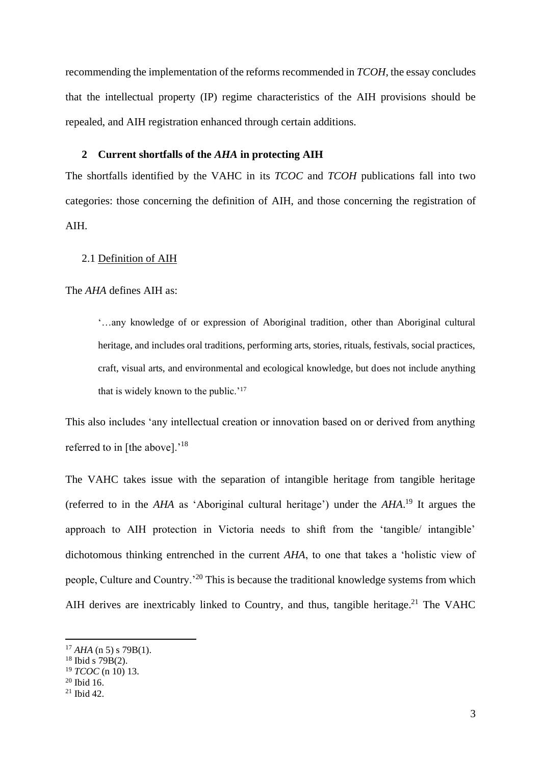recommending the implementation of the reforms recommended in *TCOH*, the essay concludes that the intellectual property (IP) regime characteristics of the AIH provisions should be repealed, and AIH registration enhanced through certain additions.

## **2 Current shortfalls of the** *AHA* **in protecting AIH**

The shortfalls identified by the VAHC in its *TCOC* and *TCOH* publications fall into two categories: those concerning the definition of AIH, and those concerning the registration of AIH.

## 2.1 Definition of AIH

#### The *AHA* defines AIH as:

'…any knowledge of or expression of Aboriginal tradition, other than Aboriginal cultural heritage, and includes oral traditions, performing arts, stories, rituals, festivals, social practices, craft, visual arts, and environmental and ecological knowledge, but does not include anything that is widely known to the public.'<sup>17</sup>

This also includes 'any intellectual creation or innovation based on or derived from anything referred to in [the above].<sup>'18</sup>

The VAHC takes issue with the separation of intangible heritage from tangible heritage (referred to in the *AHA* as 'Aboriginal cultural heritage') under the *AHA*. <sup>19</sup> It argues the approach to AIH protection in Victoria needs to shift from the 'tangible/ intangible' dichotomous thinking entrenched in the current *AHA*, to one that takes a 'holistic view of people, Culture and Country.'<sup>20</sup> This is because the traditional knowledge systems from which AIH derives are inextricably linked to Country, and thus, tangible heritage.<sup>21</sup> The VAHC

 $17$  *AHA* (n 5) s 79B(1).

 $18$  Ibid s 79B(2).

<sup>19</sup> *TCOC* (n 10) 13.

 $20$  Ibid 16.

 $^{21}$  Ibid 42.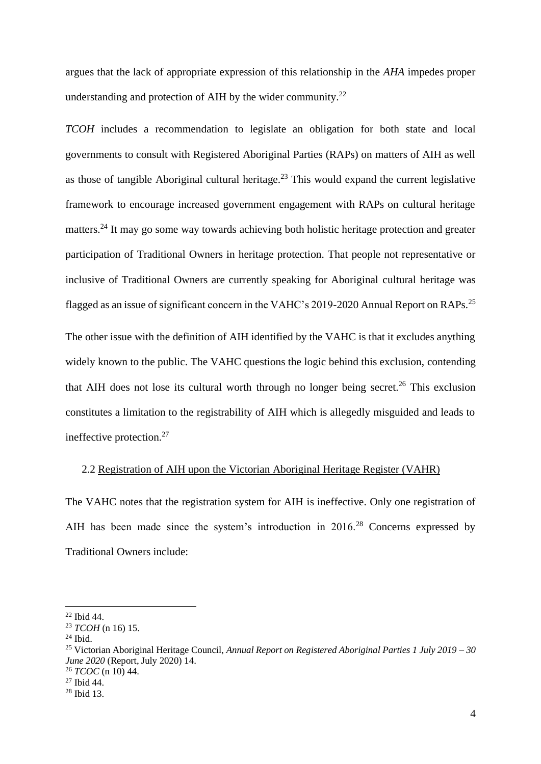argues that the lack of appropriate expression of this relationship in the *AHA* impedes proper understanding and protection of AIH by the wider community.<sup>22</sup>

*TCOH* includes a recommendation to legislate an obligation for both state and local governments to consult with Registered Aboriginal Parties (RAPs) on matters of AIH as well as those of tangible Aboriginal cultural heritage.<sup>23</sup> This would expand the current legislative framework to encourage increased government engagement with RAPs on cultural heritage matters.<sup>24</sup> It may go some way towards achieving both holistic heritage protection and greater participation of Traditional Owners in heritage protection. That people not representative or inclusive of Traditional Owners are currently speaking for Aboriginal cultural heritage was flagged as an issue of significant concern in the VAHC's 2019-2020 Annual Report on RAPs.<sup>25</sup>

The other issue with the definition of AIH identified by the VAHC is that it excludes anything widely known to the public. The VAHC questions the logic behind this exclusion, contending that AIH does not lose its cultural worth through no longer being secret.<sup>26</sup> This exclusion constitutes a limitation to the registrability of AIH which is allegedly misguided and leads to ineffective protection.<sup>27</sup>

#### 2.2 Registration of AIH upon the Victorian Aboriginal Heritage Register (VAHR)

The VAHC notes that the registration system for AIH is ineffective. Only one registration of AIH has been made since the system's introduction in 2016.<sup>28</sup> Concerns expressed by Traditional Owners include:

<sup>22</sup> Ibid 44.

<sup>23</sup> *TCOH* (n 16) 15.

<sup>24</sup> Ibid.

<sup>25</sup> Victorian Aboriginal Heritage Council, *Annual Report on Registered Aboriginal Parties 1 July 2019 – 30 June 2020* (Report, July 2020) 14.

<sup>26</sup> *TCOC* (n 10) 44.

 $27$  Ibid 44.

<sup>28</sup> Ibid 13.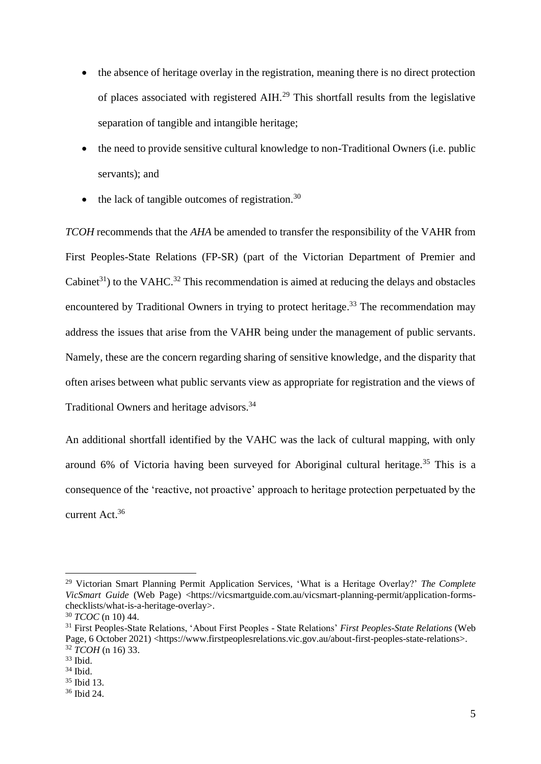- the absence of heritage overlay in the registration, meaning there is no direct protection of places associated with registered AIH.<sup>29</sup> This shortfall results from the legislative separation of tangible and intangible heritage;
- the need to provide sensitive cultural knowledge to non-Traditional Owners (i.e. public servants); and
- $\bullet$  the lack of tangible outcomes of registration.<sup>30</sup>

*TCOH* recommends that the *AHA* be amended to transfer the responsibility of the VAHR from First Peoples-State Relations (FP-SR) (part of the Victorian Department of Premier and Cabinet<sup>31</sup>) to the VAHC.<sup>32</sup> This recommendation is aimed at reducing the delays and obstacles encountered by Traditional Owners in trying to protect heritage.<sup>33</sup> The recommendation may address the issues that arise from the VAHR being under the management of public servants. Namely, these are the concern regarding sharing of sensitive knowledge, and the disparity that often arises between what public servants view as appropriate for registration and the views of Traditional Owners and heritage advisors.<sup>34</sup>

An additional shortfall identified by the VAHC was the lack of cultural mapping, with only around 6% of Victoria having been surveyed for Aboriginal cultural heritage.<sup>35</sup> This is a consequence of the 'reactive, not proactive' approach to heritage protection perpetuated by the current Act. 36

<sup>29</sup> Victorian Smart Planning Permit Application Services, 'What is a Heritage Overlay?' *The Complete VicSmart Guide* (Web Page) <https://vicsmartguide.com.au/vicsmart-planning-permit/application-formschecklists/what-is-a-heritage-overlay>.

<sup>30</sup> *TCOC* (n 10) 44.

<sup>31</sup> First Peoples-State Relations, 'About First Peoples - State Relations' *First Peoples-State Relations* (Web Page, 6 October 2021) <https://www.firstpeoplesrelations.vic.gov.au/about-first-peoples-state-relations>. <sup>32</sup> *TCOH* (n 16) 33.

<sup>33</sup> Ibid.

<sup>34</sup> Ibid.

<sup>35</sup> Ibid 13.

<sup>36</sup> Ibid 24.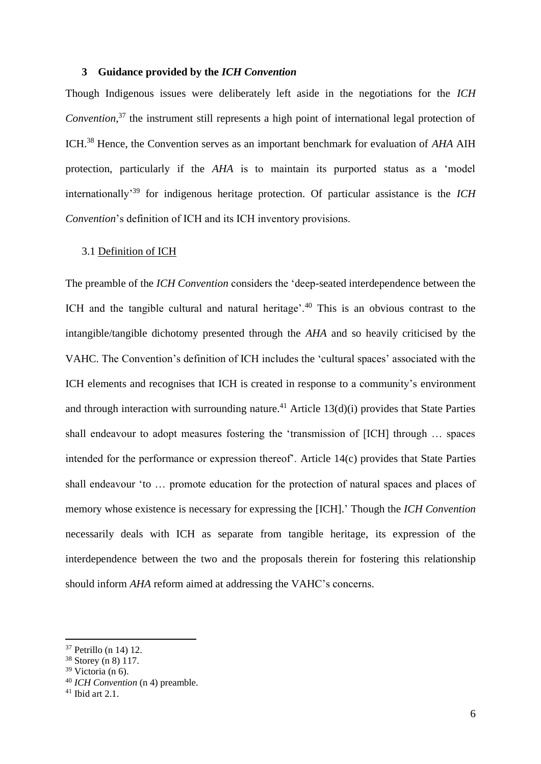## **3 Guidance provided by the** *ICH Convention*

Though Indigenous issues were deliberately left aside in the negotiations for the *ICH Convention*, <sup>37</sup> the instrument still represents a high point of international legal protection of ICH.<sup>38</sup> Hence, the Convention serves as an important benchmark for evaluation of *AHA* AIH protection, particularly if the *AHA* is to maintain its purported status as a 'model internationally'<sup>39</sup> for indigenous heritage protection. Of particular assistance is the *ICH Convention*'s definition of ICH and its ICH inventory provisions.

#### 3.1 Definition of ICH

The preamble of the *ICH Convention* considers the 'deep-seated interdependence between the ICH and the tangible cultural and natural heritage'.<sup>40</sup> This is an obvious contrast to the intangible/tangible dichotomy presented through the *AHA* and so heavily criticised by the VAHC. The Convention's definition of ICH includes the 'cultural spaces' associated with the ICH elements and recognises that ICH is created in response to a community's environment and through interaction with surrounding nature.<sup>41</sup> Article 13(d)(i) provides that State Parties shall endeavour to adopt measures fostering the 'transmission of [ICH] through … spaces intended for the performance or expression thereof'. Article 14(c) provides that State Parties shall endeavour 'to … promote education for the protection of natural spaces and places of memory whose existence is necessary for expressing the [ICH].' Though the *ICH Convention* necessarily deals with ICH as separate from tangible heritage, its expression of the interdependence between the two and the proposals therein for fostering this relationship should inform *AHA* reform aimed at addressing the VAHC's concerns.

<sup>37</sup> Petrillo (n 14) 12.

<sup>38</sup> Storey (n 8) 117.

 $39$  Victoria (n 6).

<sup>40</sup> *ICH Convention* (n 4) preamble.

 $41$  Ibid art 2.1.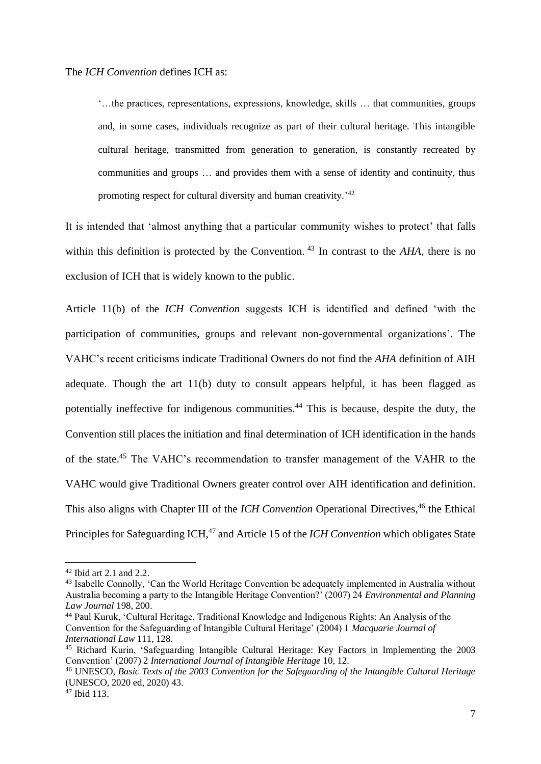'…the practices, representations, expressions, knowledge, skills … that communities, groups and, in some cases, individuals recognize as part of their cultural heritage. This intangible cultural heritage, transmitted from generation to generation, is constantly recreated by communities and groups … and provides them with a sense of identity and continuity, thus promoting respect for cultural diversity and human creativity.<sup>'42</sup>

It is intended that 'almost anything that a particular community wishes to protect' that falls within this definition is protected by the Convention. <sup>43</sup> In contrast to the *AHA,* there is no exclusion of ICH that is widely known to the public.

Article 11(b) of the *ICH Convention* suggests ICH is identified and defined 'with the participation of communities, groups and relevant non-governmental organizations'. The VAHC's recent criticisms indicate Traditional Owners do not find the *AHA* definition of AIH adequate. Though the art 11(b) duty to consult appears helpful, it has been flagged as potentially ineffective for indigenous communities.<sup>44</sup> This is because, despite the duty, the Convention still places the initiation and final determination of ICH identification in the hands of the state.<sup>45</sup> The VAHC's recommendation to transfer management of the VAHR to the VAHC would give Traditional Owners greater control over AIH identification and definition. This also aligns with Chapter III of the *ICH Convention* Operational Directives, <sup>46</sup> the Ethical Principles for Safeguarding ICH,<sup>47</sup> and Article 15 of the *ICH Convention* which obligates State

<sup>42</sup> Ibid art 2.1 and 2.2.

<sup>43</sup> Isabelle Connolly, 'Can the World Heritage Convention be adequately implemented in Australia without Australia becoming a party to the Intangible Heritage Convention?' (2007) 24 *Environmental and Planning Law Journal* 198, 200.

<sup>44</sup> Paul Kuruk, 'Cultural Heritage, Traditional Knowledge and Indigenous Rights: An Analysis of the Convention for the Safeguarding of Intangible Cultural Heritage' (2004) 1 *Macquarie Journal of International Law* 111, 128.

<sup>45</sup> Richard Kurin, 'Safeguarding Intangible Cultural Heritage: Key Factors in Implementing the 2003 Convention' (2007) 2 *International Journal of Intangible Heritage* 10, 12.

<sup>46</sup> UNESCO, *Basic Texts of the 2003 Convention for the Safeguarding of the Intangible Cultural Heritage*  (UNESCO, 2020 ed, 2020) 43.

 $47$  Ibid 113.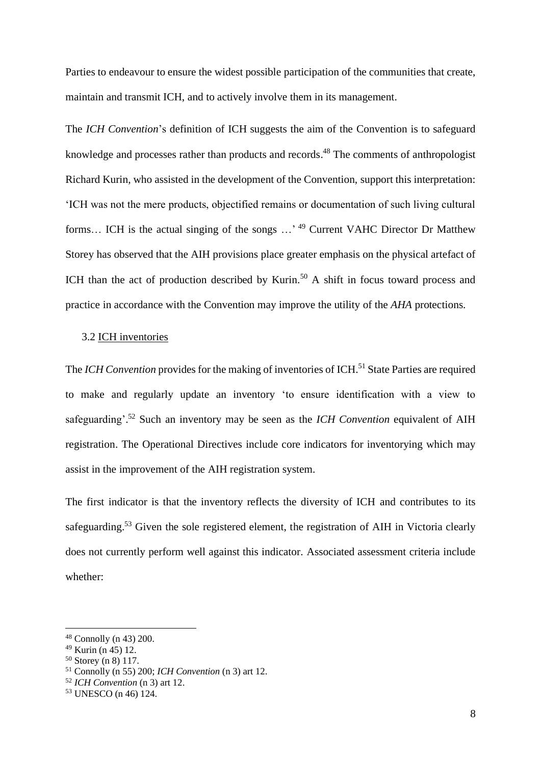Parties to endeavour to ensure the widest possible participation of the communities that create, maintain and transmit ICH, and to actively involve them in its management.

The *ICH Convention*'s definition of ICH suggests the aim of the Convention is to safeguard knowledge and processes rather than products and records.<sup>48</sup> The comments of anthropologist Richard Kurin, who assisted in the development of the Convention, support this interpretation: 'ICH was not the mere products, objectified remains or documentation of such living cultural forms... ICH is the actual singing of the songs ...'<sup>49</sup> Current VAHC Director Dr Matthew Storey has observed that the AIH provisions place greater emphasis on the physical artefact of ICH than the act of production described by Kurin.<sup>50</sup> A shift in focus toward process and practice in accordance with the Convention may improve the utility of the *AHA* protections.

## 3.2 ICH inventories

The *ICH Convention* provides for the making of inventories of ICH.<sup>51</sup> State Parties are required to make and regularly update an inventory 'to ensure identification with a view to safeguarding'. <sup>52</sup> Such an inventory may be seen as the *ICH Convention* equivalent of AIH registration. The Operational Directives include core indicators for inventorying which may assist in the improvement of the AIH registration system.

The first indicator is that the inventory reflects the diversity of ICH and contributes to its safeguarding.<sup>53</sup> Given the sole registered element, the registration of AIH in Victoria clearly does not currently perform well against this indicator. Associated assessment criteria include whether:

<sup>48</sup> Connolly (n 43) 200.

<sup>49</sup> Kurin (n 45) 12.

<sup>50</sup> Storey (n 8) 117.

<sup>51</sup> Connolly (n 55) 200; *ICH Convention* (n 3) art 12.

<sup>52</sup> *ICH Convention* (n 3) art 12.

<sup>53</sup> UNESCO (n 46) 124.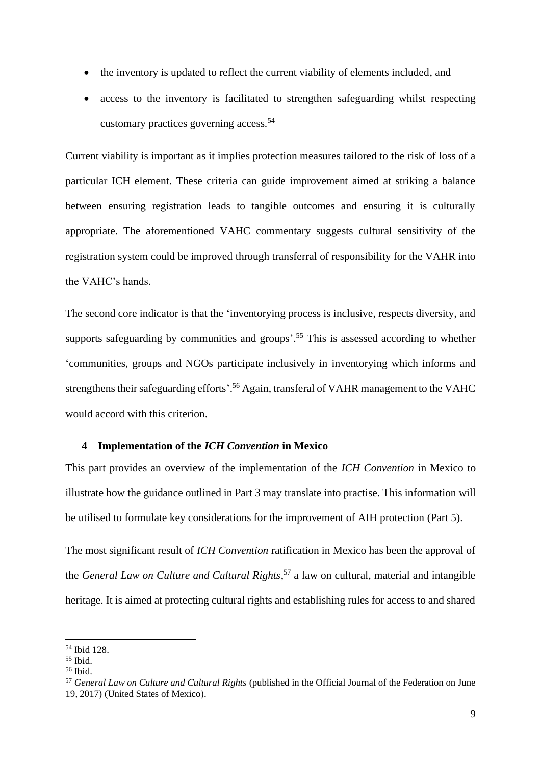- the inventory is updated to reflect the current viability of elements included, and
- access to the inventory is facilitated to strengthen safeguarding whilst respecting customary practices governing access.<sup>54</sup>

Current viability is important as it implies protection measures tailored to the risk of loss of a particular ICH element. These criteria can guide improvement aimed at striking a balance between ensuring registration leads to tangible outcomes and ensuring it is culturally appropriate. The aforementioned VAHC commentary suggests cultural sensitivity of the registration system could be improved through transferral of responsibility for the VAHR into the VAHC's hands.

The second core indicator is that the 'inventorying process is inclusive, respects diversity, and supports safeguarding by communities and groups'. <sup>55</sup> This is assessed according to whether 'communities, groups and NGOs participate inclusively in inventorying which informs and strengthens their safeguarding efforts'.<sup>56</sup> Again, transferal of VAHR management to the VAHC would accord with this criterion.

#### **4 Implementation of the** *ICH Convention* **in Mexico**

This part provides an overview of the implementation of the *ICH Convention* in Mexico to illustrate how the guidance outlined in Part 3 may translate into practise. This information will be utilised to formulate key considerations for the improvement of AIH protection (Part 5).

The most significant result of *ICH Convention* ratification in Mexico has been the approval of the *General Law on Culture and Cultural Rights*, <sup>57</sup> a law on cultural, material and intangible heritage. It is aimed at protecting cultural rights and establishing rules for access to and shared

<sup>54</sup> Ibid 128.

<sup>55</sup> Ibid.

<sup>56</sup> Ibid.

<sup>57</sup> *General Law on Culture and Cultural Rights* (published in the Official Journal of the Federation on June 19, 2017) (United States of Mexico).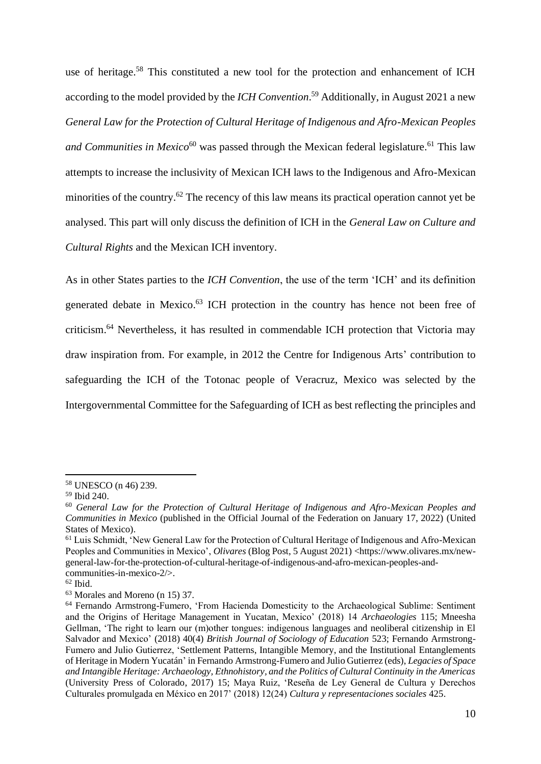use of heritage.<sup>58</sup> This constituted a new tool for the protection and enhancement of ICH according to the model provided by the *ICH Convention*. <sup>59</sup> Additionally, in August 2021 a new *General Law for the Protection of Cultural Heritage of Indigenous and Afro-Mexican Peoples*  and Communities in Mexico<sup>60</sup> was passed through the Mexican federal legislature.<sup>61</sup> This law attempts to increase the inclusivity of Mexican ICH laws to the Indigenous and Afro-Mexican minorities of the country.<sup>62</sup> The recency of this law means its practical operation cannot yet be analysed. This part will only discuss the definition of ICH in the *General Law on Culture and Cultural Rights* and the Mexican ICH inventory.

As in other States parties to the *ICH Convention*, the use of the term 'ICH' and its definition generated debate in Mexico. <sup>63</sup> ICH protection in the country has hence not been free of criticism.<sup>64</sup> Nevertheless, it has resulted in commendable ICH protection that Victoria may draw inspiration from. For example, in 2012 the Centre for Indigenous Arts' contribution to safeguarding the ICH of the Totonac people of Veracruz, Mexico was selected by the Intergovernmental Committee for the Safeguarding of ICH as best reflecting the principles and

<sup>58</sup> UNESCO (n 46) 239.

<sup>59</sup> Ibid 240.

<sup>60</sup> *General Law for the Protection of Cultural Heritage of Indigenous and Afro-Mexican Peoples and Communities in Mexico* (published in the Official Journal of the Federation on January 17, 2022) (United States of Mexico).

<sup>&</sup>lt;sup>61</sup> Luis Schmidt, 'New General Law for the Protection of Cultural Heritage of Indigenous and Afro-Mexican Peoples and Communities in Mexico', *Olivares* (Blog Post, 5 August 2021) <https://www.olivares.mx/newgeneral-law-for-the-protection-of-cultural-heritage-of-indigenous-and-afro-mexican-peoples-andcommunities-in-mexico-2/>.

 $62$  Ibid.

<sup>63</sup> Morales and Moreno (n 15) 37.

<sup>&</sup>lt;sup>64</sup> Fernando Armstrong-Fumero, 'From Hacienda Domesticity to the Archaeological Sublime: Sentiment and the Origins of Heritage Management in Yucatan, Mexico' (2018) 14 *Archaeologies* 115; Mneesha Gellman, 'The right to learn our (m)other tongues: indigenous languages and neoliberal citizenship in El Salvador and Mexico' (2018) 40(4) *British Journal of Sociology of Education* 523; Fernando Armstrong-Fumero and Julio Gutierrez, 'Settlement Patterns, Intangible Memory, and the Institutional Entanglements of Heritage in Modern Yucatán' in Fernando Armstrong-Fumero and Julio Gutierrez (eds), *Legacies of Space and Intangible Heritage: Archaeology, Ethnohistory, and the Politics of Cultural Continuity in the Americas* (University Press of Colorado, 2017) 15; Maya Ruiz, 'Reseña de Ley General de Cultura y Derechos Culturales promulgada en México en 2017' (2018) 12(24) *Cultura y representaciones sociales* 425.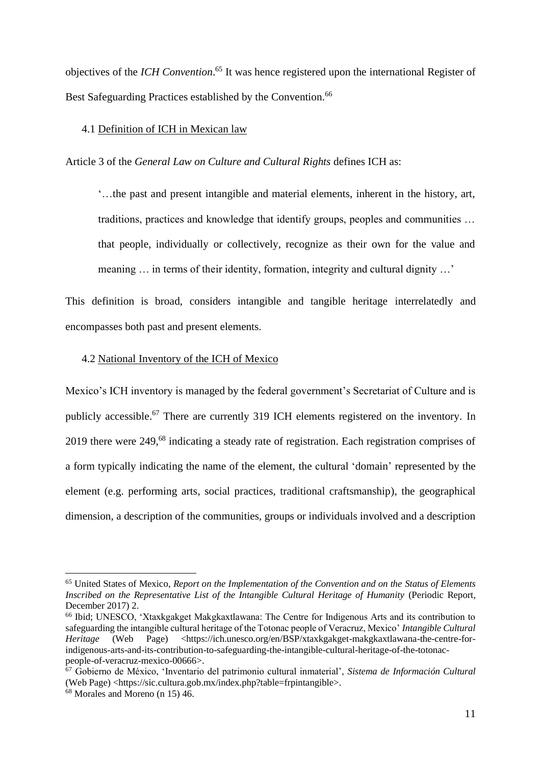objectives of the *ICH Convention*. <sup>65</sup> It was hence registered upon the international Register of Best Safeguarding Practices established by the Convention.<sup>66</sup>

## 4.1 Definition of ICH in Mexican law

Article 3 of the *General Law on Culture and Cultural Rights* defines ICH as:

'…the past and present intangible and material elements, inherent in the history, art, traditions, practices and knowledge that identify groups, peoples and communities … that people, individually or collectively, recognize as their own for the value and meaning ... in terms of their identity, formation, integrity and cultural dignity ...'

This definition is broad, considers intangible and tangible heritage interrelatedly and encompasses both past and present elements.

#### 4.2 National Inventory of the ICH of Mexico

Mexico's ICH inventory is managed by the federal government's Secretariat of Culture and is publicly accessible.<sup>67</sup> There are currently 319 ICH elements registered on the inventory. In 2019 there were 249,<sup>68</sup> indicating a steady rate of registration. Each registration comprises of a form typically indicating the name of the element, the cultural 'domain' represented by the element (e.g. performing arts, social practices, traditional craftsmanship), the geographical dimension, a description of the communities, groups or individuals involved and a description

<sup>65</sup> United States of Mexico, *Report on the Implementation of the Convention and on the Status of Elements Inscribed on the Representative List of the Intangible Cultural Heritage of Humanity* (Periodic Report, December 2017) 2.

<sup>66</sup> Ibid; UNESCO, 'Xtaxkgakget Makgkaxtlawana: The Centre for Indigenous Arts and its contribution to safeguarding the intangible cultural heritage of the Totonac people of Veracruz, Mexico' *Intangible Cultural Heritage* (Web Page) <https://ich.unesco.org/en/BSP/xtaxkgakget-makgkaxtlawana-the-centre-forindigenous-arts-and-its-contribution-to-safeguarding-the-intangible-cultural-heritage-of-the-totonacpeople-of-veracruz-mexico-00666>.

<sup>67</sup> Gobierno de México, 'Inventario del patrimonio cultural inmaterial', *Sistema de Información Cultural*  (Web Page) <https://sic.cultura.gob.mx/index.php?table=frpintangible>.

<sup>68</sup> Morales and Moreno (n 15) 46.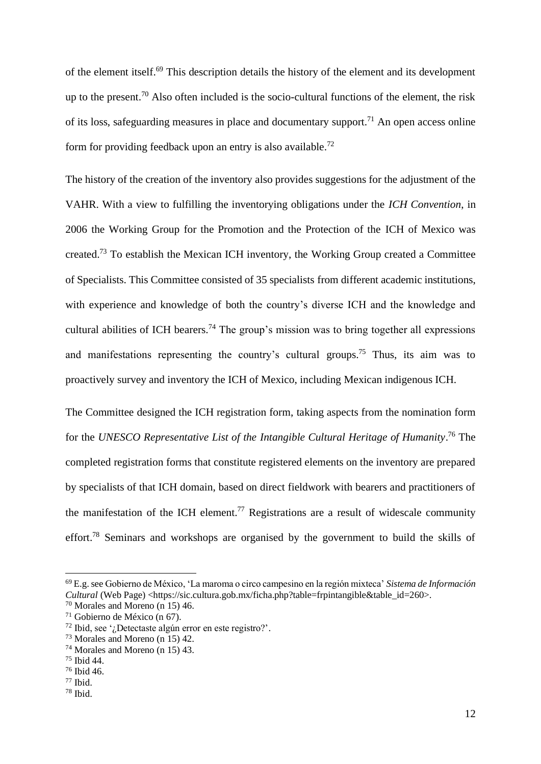of the element itself.<sup>69</sup> This description details the history of the element and its development up to the present.<sup>70</sup> Also often included is the socio-cultural functions of the element, the risk of its loss, safeguarding measures in place and documentary support.<sup>71</sup> An open access online form for providing feedback upon an entry is also available.<sup>72</sup>

The history of the creation of the inventory also provides suggestions for the adjustment of the VAHR. With a view to fulfilling the inventorying obligations under the *ICH Convention*, in 2006 the Working Group for the Promotion and the Protection of the ICH of Mexico was created.<sup>73</sup> To establish the Mexican ICH inventory, the Working Group created a Committee of Specialists. This Committee consisted of 35 specialists from different academic institutions, with experience and knowledge of both the country's diverse ICH and the knowledge and cultural abilities of ICH bearers.<sup>74</sup> The group's mission was to bring together all expressions and manifestations representing the country's cultural groups.<sup>75</sup> Thus, its aim was to proactively survey and inventory the ICH of Mexico, including Mexican indigenous ICH.

The Committee designed the ICH registration form, taking aspects from the nomination form for the *UNESCO Representative List of the Intangible Cultural Heritage of Humanity*. <sup>76</sup> The completed registration forms that constitute registered elements on the inventory are prepared by specialists of that ICH domain, based on direct fieldwork with bearers and practitioners of the manifestation of the ICH element.<sup>77</sup> Registrations are a result of widescale community effort.<sup>78</sup> Seminars and workshops are organised by the government to build the skills of

<sup>69</sup> E.g. see Gobierno de México, 'La maroma o circo campesino en la región mixteca' *Sistema de Información Cultural* (Web Page) <https://sic.cultura.gob.mx/ficha.php?table=frpintangible&table\_id=260>.

<sup>70</sup> Morales and Moreno (n 15) 46.

<sup>71</sup> Gobierno de México (n 67).

<sup>72</sup> Ibid, see '¿Detectaste algún error en este registro?'.

<sup>73</sup> Morales and Moreno (n 15) 42.

<sup>74</sup> Morales and Moreno (n 15) 43.

<sup>75</sup> Ibid 44.

<sup>76</sup> Ibid 46.

<sup>77</sup> Ibid.

<sup>78</sup> Ibid.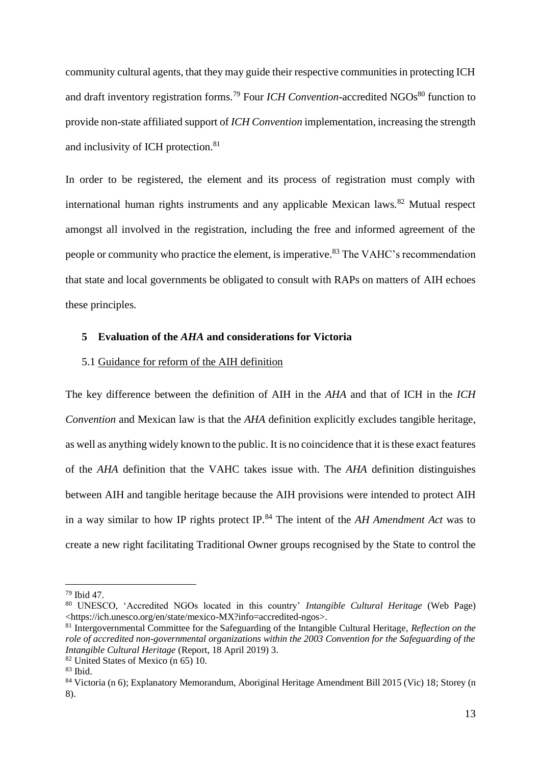community cultural agents, that they may guide their respective communities in protecting ICH and draft inventory registration forms.<sup>79</sup> Four *ICH Convention*-accredited NGOs<sup>80</sup> function to provide non-state affiliated support of *ICH Convention* implementation, increasing the strength and inclusivity of ICH protection.<sup>81</sup>

In order to be registered, the element and its process of registration must comply with international human rights instruments and any applicable Mexican laws. $82$  Mutual respect amongst all involved in the registration, including the free and informed agreement of the people or community who practice the element, is imperative.<sup>83</sup> The VAHC's recommendation that state and local governments be obligated to consult with RAPs on matters of AIH echoes these principles.

## **5 Evaluation of the** *AHA* **and considerations for Victoria**

#### 5.1 Guidance for reform of the AIH definition

The key difference between the definition of AIH in the *AHA* and that of ICH in the *ICH Convention* and Mexican law is that the *AHA* definition explicitly excludes tangible heritage, as well as anything widely known to the public. It is no coincidence that it is these exact features of the *AHA* definition that the VAHC takes issue with. The *AHA* definition distinguishes between AIH and tangible heritage because the AIH provisions were intended to protect AIH in a way similar to how IP rights protect IP. <sup>84</sup> The intent of the *AH Amendment Act* was to create a new right facilitating Traditional Owner groups recognised by the State to control the

<sup>79</sup> Ibid 47.

<sup>80</sup> UNESCO, 'Accredited NGOs located in this country' *Intangible Cultural Heritage* (Web Page) <https://ich.unesco.org/en/state/mexico-MX?info=accredited-ngos>.

<sup>81</sup> Intergovernmental Committee for the Safeguarding of the Intangible Cultural Heritage, *Reflection on the role of accredited non-governmental organizations within the 2003 Convention for the Safeguarding of the Intangible Cultural Heritage* (Report, 18 April 2019) 3.

<sup>82</sup> United States of Mexico (n 65) 10.

<sup>83</sup> Ibid.

<sup>84</sup> Victoria (n 6); Explanatory Memorandum, Aboriginal Heritage Amendment Bill 2015 (Vic) 18; Storey (n 8).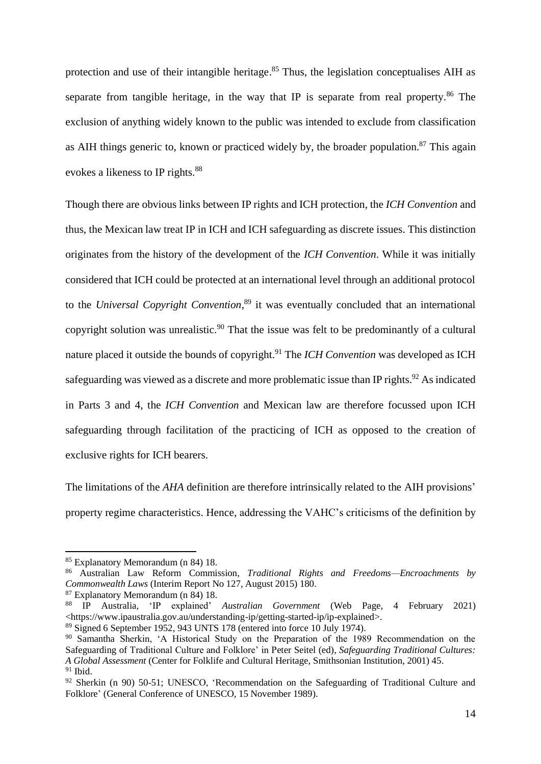protection and use of their intangible heritage.<sup>85</sup> Thus, the legislation conceptualises AIH as separate from tangible heritage, in the way that IP is separate from real property.<sup>86</sup> The exclusion of anything widely known to the public was intended to exclude from classification as AIH things generic to, known or practiced widely by, the broader population.<sup>87</sup> This again evokes a likeness to IP rights.<sup>88</sup>

Though there are obvious links between IP rights and ICH protection, the *ICH Convention* and thus, the Mexican law treat IP in ICH and ICH safeguarding as discrete issues. This distinction originates from the history of the development of the *ICH Convention*. While it was initially considered that ICH could be protected at an international level through an additional protocol to the *Universal Copyright Convention*, <sup>89</sup> it was eventually concluded that an international copyright solution was unrealistic.<sup>90</sup> That the issue was felt to be predominantly of a cultural nature placed it outside the bounds of copyright.<sup>91</sup> The *ICH Convention* was developed as ICH safeguarding was viewed as a discrete and more problematic issue than IP rights.<sup>92</sup> As indicated in Parts 3 and 4, the *ICH Convention* and Mexican law are therefore focussed upon ICH safeguarding through facilitation of the practicing of ICH as opposed to the creation of exclusive rights for ICH bearers.

The limitations of the *AHA* definition are therefore intrinsically related to the AIH provisions' property regime characteristics. Hence, addressing the VAHC's criticisms of the definition by

<sup>85</sup> Explanatory Memorandum (n 84) 18.

<sup>86</sup> Australian Law Reform Commission, *Traditional Rights and Freedoms—Encroachments by Commonwealth Laws* (Interim Report No 127, August 2015) 180.

<sup>87</sup> Explanatory Memorandum (n 84) 18.

<sup>88</sup> IP Australia, 'IP explained' *Australian Government* (Web Page, 4 February 2021) <https://www.ipaustralia.gov.au/understanding-ip/getting-started-ip/ip-explained>.

<sup>89</sup> Signed 6 September 1952, 943 UNTS 178 (entered into force 10 July 1974).

<sup>90</sup> Samantha Sherkin, 'A Historical Study on the Preparation of the 1989 Recommendation on the Safeguarding of Traditional Culture and Folklore' in Peter Seitel (ed), *Safeguarding Traditional Cultures: A Global Assessment* (Center for Folklife and Cultural Heritage, Smithsonian Institution, 2001) 45. <sup>91</sup> Ibid.

 $92$  Sherkin (n 90) 50-51; UNESCO, 'Recommendation on the Safeguarding of Traditional Culture and Folklore' (General Conference of UNESCO, 15 November 1989).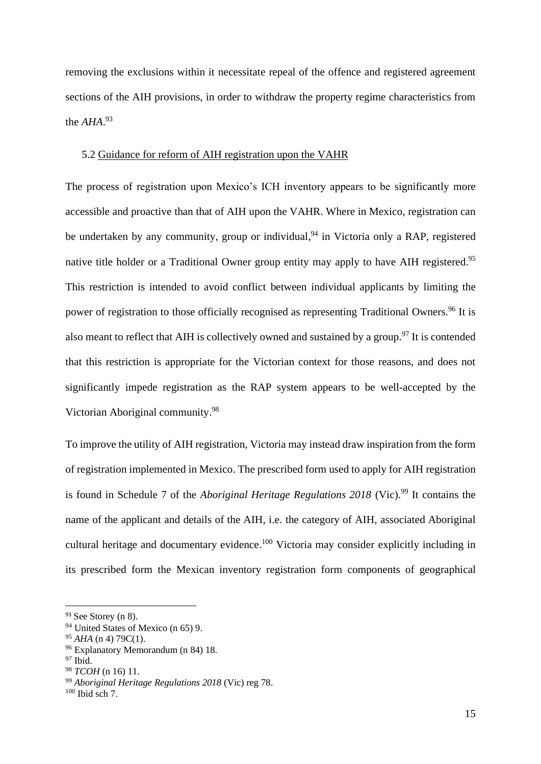removing the exclusions within it necessitate repeal of the offence and registered agreement sections of the AIH provisions, in order to withdraw the property regime characteristics from the *AHA*. 93

## 5.2 Guidance for reform of AIH registration upon the VAHR

The process of registration upon Mexico's ICH inventory appears to be significantly more accessible and proactive than that of AIH upon the VAHR. Where in Mexico, registration can be undertaken by any community, group or individual,<sup>94</sup> in Victoria only a RAP, registered native title holder or a Traditional Owner group entity may apply to have AIH registered.<sup>95</sup> This restriction is intended to avoid conflict between individual applicants by limiting the power of registration to those officially recognised as representing Traditional Owners.<sup>96</sup> It is also meant to reflect that AIH is collectively owned and sustained by a group.<sup>97</sup> It is contended that this restriction is appropriate for the Victorian context for those reasons, and does not significantly impede registration as the RAP system appears to be well-accepted by the Victorian Aboriginal community. 98

To improve the utility of AIH registration, Victoria may instead draw inspiration from the form of registration implemented in Mexico. The prescribed form used to apply for AIH registration is found in Schedule 7 of the *Aboriginal Heritage Regulations 2018* (Vic).<sup>99</sup> It contains the name of the applicant and details of the AIH, i.e. the category of AIH, associated Aboriginal cultural heritage and documentary evidence.<sup>100</sup> Victoria may consider explicitly including in its prescribed form the Mexican inventory registration form components of geographical

<sup>93</sup> See Storey (n 8).

<sup>94</sup> United States of Mexico (n 65) 9.

<sup>95</sup> *AHA* (n 4) 79C(1).

<sup>96</sup> Explanatory Memorandum (n 84) 18.

<sup>97</sup> Ibid.

<sup>98</sup> *TCOH* (n 16) 11.

<sup>99</sup> *Aboriginal Heritage Regulations 2018* (Vic) reg 78.

 $100$  Ibid sch  $7$ .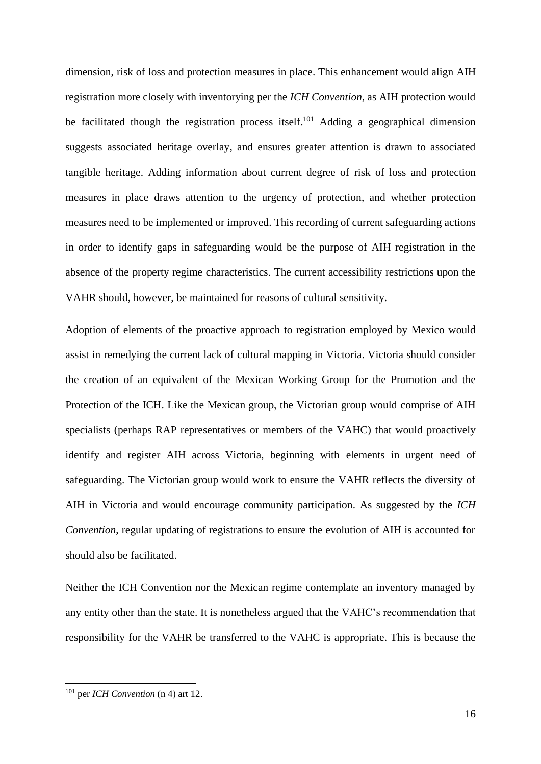dimension, risk of loss and protection measures in place. This enhancement would align AIH registration more closely with inventorying per the *ICH Convention*, as AIH protection would be facilitated though the registration process itself.<sup>101</sup> Adding a geographical dimension suggests associated heritage overlay, and ensures greater attention is drawn to associated tangible heritage. Adding information about current degree of risk of loss and protection measures in place draws attention to the urgency of protection, and whether protection measures need to be implemented or improved. This recording of current safeguarding actions in order to identify gaps in safeguarding would be the purpose of AIH registration in the absence of the property regime characteristics. The current accessibility restrictions upon the VAHR should, however, be maintained for reasons of cultural sensitivity.

Adoption of elements of the proactive approach to registration employed by Mexico would assist in remedying the current lack of cultural mapping in Victoria. Victoria should consider the creation of an equivalent of the Mexican Working Group for the Promotion and the Protection of the ICH. Like the Mexican group, the Victorian group would comprise of AIH specialists (perhaps RAP representatives or members of the VAHC) that would proactively identify and register AIH across Victoria, beginning with elements in urgent need of safeguarding. The Victorian group would work to ensure the VAHR reflects the diversity of AIH in Victoria and would encourage community participation. As suggested by the *ICH Convention*, regular updating of registrations to ensure the evolution of AIH is accounted for should also be facilitated.

Neither the ICH Convention nor the Mexican regime contemplate an inventory managed by any entity other than the state. It is nonetheless argued that the VAHC's recommendation that responsibility for the VAHR be transferred to the VAHC is appropriate. This is because the

<sup>101</sup> per *ICH Convention* (n 4) art 12.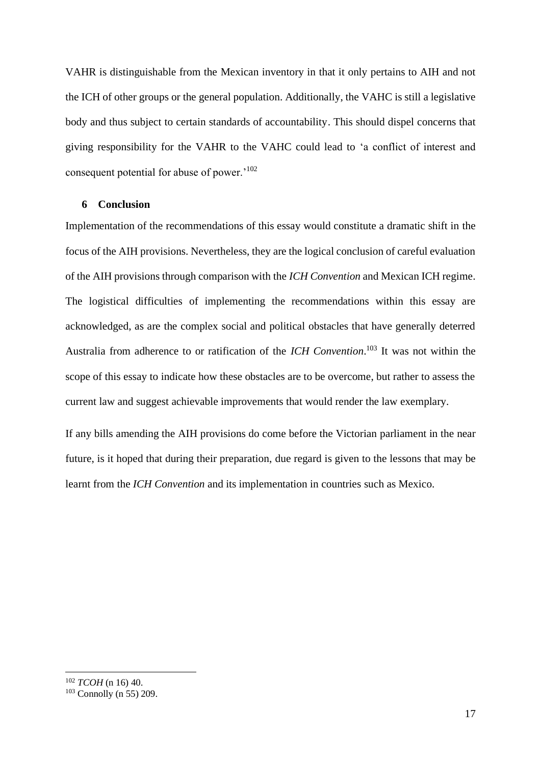VAHR is distinguishable from the Mexican inventory in that it only pertains to AIH and not the ICH of other groups or the general population. Additionally, the VAHC is still a legislative body and thus subject to certain standards of accountability. This should dispel concerns that giving responsibility for the VAHR to the VAHC could lead to 'a conflict of interest and consequent potential for abuse of power.'<sup>102</sup>

#### **6 Conclusion**

Implementation of the recommendations of this essay would constitute a dramatic shift in the focus of the AIH provisions. Nevertheless, they are the logical conclusion of careful evaluation of the AIH provisions through comparison with the *ICH Convention* and Mexican ICH regime. The logistical difficulties of implementing the recommendations within this essay are acknowledged, as are the complex social and political obstacles that have generally deterred Australia from adherence to or ratification of the *ICH Convention*. <sup>103</sup> It was not within the scope of this essay to indicate how these obstacles are to be overcome, but rather to assess the current law and suggest achievable improvements that would render the law exemplary.

If any bills amending the AIH provisions do come before the Victorian parliament in the near future, is it hoped that during their preparation, due regard is given to the lessons that may be learnt from the *ICH Convention* and its implementation in countries such as Mexico.

<sup>102</sup> *TCOH* (n 16) 40.

<sup>103</sup> Connolly (n 55) 209.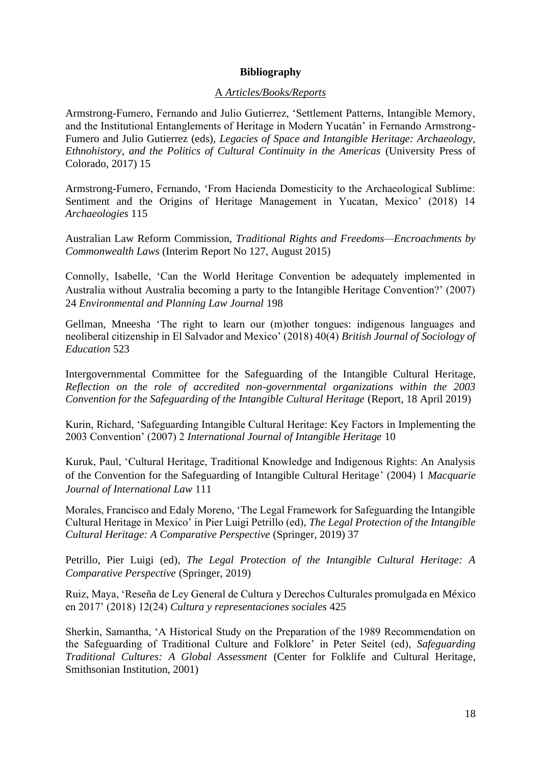## **Bibliography**

## A *Articles/Books/Reports*

Armstrong-Fumero, Fernando and Julio Gutierrez, 'Settlement Patterns, Intangible Memory, and the Institutional Entanglements of Heritage in Modern Yucatán' in Fernando Armstrong-Fumero and Julio Gutierrez (eds), *Legacies of Space and Intangible Heritage: Archaeology, Ethnohistory, and the Politics of Cultural Continuity in the Americas* (University Press of Colorado, 2017) 15

Armstrong-Fumero, Fernando, 'From Hacienda Domesticity to the Archaeological Sublime: Sentiment and the Origins of Heritage Management in Yucatan, Mexico' (2018) 14 *Archaeologies* 115

Australian Law Reform Commission, *Traditional Rights and Freedoms—Encroachments by Commonwealth Laws* (Interim Report No 127, August 2015)

Connolly, Isabelle, 'Can the World Heritage Convention be adequately implemented in Australia without Australia becoming a party to the Intangible Heritage Convention?' (2007) 24 *Environmental and Planning Law Journal* 198

Gellman, Mneesha 'The right to learn our (m)other tongues: indigenous languages and neoliberal citizenship in El Salvador and Mexico' (2018) 40(4) *British Journal of Sociology of Education* 523

Intergovernmental Committee for the Safeguarding of the Intangible Cultural Heritage, *Reflection on the role of accredited non-governmental organizations within the 2003 Convention for the Safeguarding of the Intangible Cultural Heritage* (Report, 18 April 2019)

Kurin, Richard, 'Safeguarding Intangible Cultural Heritage: Key Factors in Implementing the 2003 Convention' (2007) 2 *International Journal of Intangible Heritage* 10

Kuruk, Paul, 'Cultural Heritage, Traditional Knowledge and Indigenous Rights: An Analysis of the Convention for the Safeguarding of Intangible Cultural Heritage' (2004) 1 *Macquarie Journal of International Law* 111

Morales, Francisco and Edaly Moreno, 'The Legal Framework for Safeguarding the Intangible Cultural Heritage in Mexico' in Pier Luigi Petrillo (ed), *The Legal Protection of the Intangible Cultural Heritage: A Comparative Perspective* (Springer, 2019) 37

Petrillo, Pier Luigi (ed), *The Legal Protection of the Intangible Cultural Heritage: A Comparative Perspective* (Springer, 2019)

Ruiz, Maya, 'Reseña de Ley General de Cultura y Derechos Culturales promulgada en México en 2017' (2018) 12(24) *Cultura y representaciones sociales* 425

Sherkin, Samantha, 'A Historical Study on the Preparation of the 1989 Recommendation on the Safeguarding of Traditional Culture and Folklore' in Peter Seitel (ed), *Safeguarding Traditional Cultures: A Global Assessment* (Center for Folklife and Cultural Heritage, Smithsonian Institution, 2001)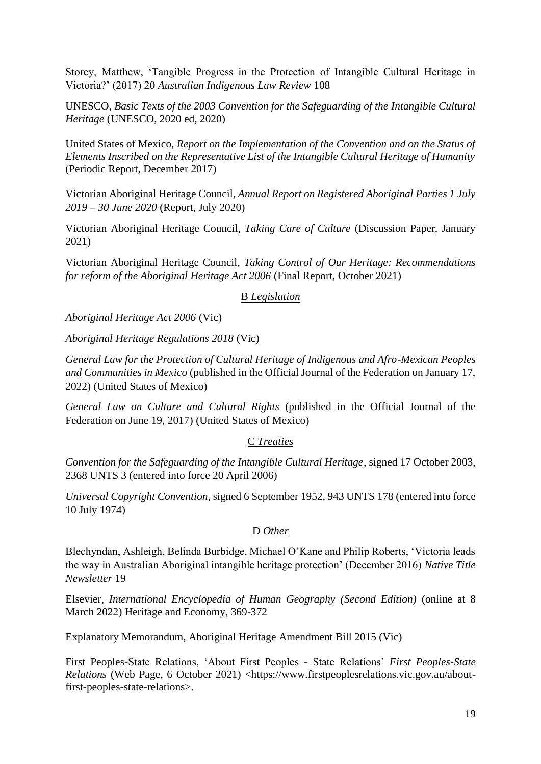Storey, Matthew, 'Tangible Progress in the Protection of Intangible Cultural Heritage in Victoria?' (2017) 20 *Australian Indigenous Law Review* 108

UNESCO, *Basic Texts of the 2003 Convention for the Safeguarding of the Intangible Cultural Heritage* (UNESCO, 2020 ed, 2020)

United States of Mexico, *Report on the Implementation of the Convention and on the Status of Elements Inscribed on the Representative List of the Intangible Cultural Heritage of Humanity* (Periodic Report, December 2017)

Victorian Aboriginal Heritage Council, *Annual Report on Registered Aboriginal Parties 1 July 2019 – 30 June 2020* (Report, July 2020)

Victorian Aboriginal Heritage Council, *Taking Care of Culture* (Discussion Paper, January 2021)

Victorian Aboriginal Heritage Council, *Taking Control of Our Heritage: Recommendations for reform of the Aboriginal Heritage Act 2006* (Final Report, October 2021)

## B *Legislation*

*Aboriginal Heritage Act 2006* (Vic)

*Aboriginal Heritage Regulations 2018* (Vic)

*General Law for the Protection of Cultural Heritage of Indigenous and Afro-Mexican Peoples and Communities in Mexico* (published in the Official Journal of the Federation on January 17, 2022) (United States of Mexico)

*General Law on Culture and Cultural Rights* (published in the Official Journal of the Federation on June 19, 2017) (United States of Mexico)

## C *Treaties*

*Convention for the Safeguarding of the Intangible Cultural Heritage*, signed 17 October 2003, 2368 UNTS 3 (entered into force 20 April 2006)

*Universal Copyright Convention*, signed 6 September 1952, 943 UNTS 178 (entered into force 10 July 1974)

## D *Other*

Blechyndan, Ashleigh, Belinda Burbidge, Michael O'Kane and Philip Roberts, 'Victoria leads the way in Australian Aboriginal intangible heritage protection' (December 2016) *Native Title Newsletter* 19

Elsevier, *International Encyclopedia of Human Geography (Second Edition)* (online at 8 March 2022) Heritage and Economy, 369-372

Explanatory Memorandum, Aboriginal Heritage Amendment Bill 2015 (Vic)

First Peoples-State Relations, 'About First Peoples - State Relations' *First Peoples-State Relations* (Web Page, 6 October 2021) <https://www.firstpeoplesrelations.vic.gov.au/aboutfirst-peoples-state-relations>.